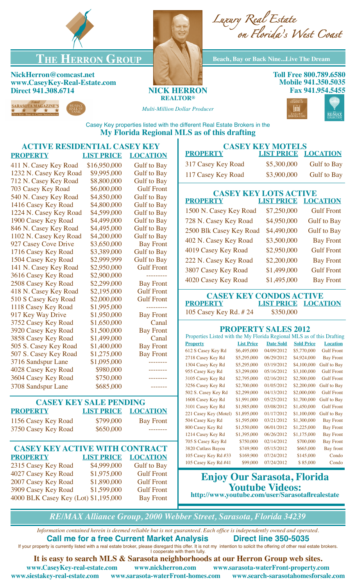

## **THE HERRON GROUP Beach, Bay or Back Nine...Live The Dream**

## **NickHerron@comcast.net www.CaseyKey-Real-Estate.com Direct 941.308.6714 NICK HERRON**







**Toll Free 800.789.6580 Mobile 941.350.5035 Fax 941.954.5455**

*Multi-Million Dollar Producer*

**REALTOR®**



Casey Key properties listed with the different Real Estate Brokers in the **My Florida Regional MLS as of this drafting**

## **ACTIVE RESIDENTIAL CASEY KEY PROPERTY LIST PRICE LOCATION** 411 N. Casey Key Road \$16,950,000 Gulf to Bay 1232 N. Casey Key Road \$9,995,000 Gulf to Bay 712 N. Casey Key Road \$8,800,000 Gulf to Bay 703 Casey Key Road \$6,000,000 Gulf Front 540 N. Casey Key Road \$4,850,000 Gulf to Bay 1416 Casey Key Road \$4,800,000 Gulf to Bay 1224 N. Casey Key Road \$4,599,000 Gulf to Bay 1900 Casey Key Road \$4,499,000 Gulf to Bay 846 N. Casey Key Road \$4,495,000 Gulf to Bay 1102 N. Casey Key Road \$4,200,000 Gulf to Bay 927 Casey Cove Drive \$3,650,000 Bay Front 1716 Casey Key Road \$3,389,000 Gulf to Bay 1504 Casey Key Road \$2,999,999 Gulf to Bay 141 N. Casey Key Road \$2,950,000 Gulf Front 3616 Casey Key Road \$2,900,000 ---------2508 Casey Key Road \$2,299,000 Bay Front 418 N. Casey Key Road \$2,195,000 Gulf Front 510 S Casey Key Road \$2,000,000 Gulf Front 1118 Casey Key Road \$1,995,000 ----------917 Key Way Drive \$1,950,000 Bay Front 3752 Casey Key Road \$1,650,000 Canal 3920 Casey Key Road \$1,500,000 Bay Front 3858 Casey Key Road \$1,499,000 Canal 505 S. Casey Key Road \$1,400,000 Bay Front 507 S. Casey Key Road \$1,275,000 Bay Front 3716 Sandspur Lane \$1,095,000 4028 Casey Key Road \$980,000 3604 Casey Key Road \$750,000 3708 Sandspur Lane \$685,000 **CASEY KEY SALE PENDING PROPERTY LIST PRICE LOCATION** 1156 Casey Key Road \$799,000 Bay Front 3750 Casey Key Road \$650,000 --------**CASEY KEY ACTIVE WITH CONTRACT PROPERTY LIST PRICE LOCATION** 2315 Casey Key Road \$4,999,000 Gulf to Bay 4027 Casey Key Road \$1,975,000 Gulf Front 2007 Casey Key Road \$1,890,000 Gulf Front 3909 Casey Key Road \$1,599,000 Gulf Front 4000 BLK Casey Key (Lot) \$1,195,000 Bay Front 221 Casey Key (Motel) \$1,895,000 01/17/2012 \$1,100,000 Gulf to Bay 504 Casey Key Rd \$1,595,000 03/21/2012 \$1,300,000 Bay Front 800 Casey Key Rd \$1,550,000 06/01/2012 \$1,225,000 Bay Front 1214 Casey Key Rd \$1,395,000 06/26/2012 \$1,175,000 Bay Front 705 S Casey Key Rd \$750,000 02/14/2012 \$700,000 Bay Front 3820 Cutlass Bayou \$749,900 05/15/2012 \$665,000 Bay front 105 Casey Key Rd #33 \$169,900 07/24/2012 \$145,000 Condo

| <b>CASEY KEY MOTELS</b>                                                |                   |                                   |                                      |                    |  |  |  |  |  |  |  |
|------------------------------------------------------------------------|-------------------|-----------------------------------|--------------------------------------|--------------------|--|--|--|--|--|--|--|
| <b>PROPERTY</b>                                                        | <b>LIST PRICE</b> |                                   | <b>LOCATION</b>                      |                    |  |  |  |  |  |  |  |
| 317 Casey Key Road                                                     | \$5,300,000       |                                   | <b>Gulf to Bay</b>                   |                    |  |  |  |  |  |  |  |
| 117 Casey Key Road                                                     | \$3,900,000       |                                   | <b>Gulf to Bay</b>                   |                    |  |  |  |  |  |  |  |
| <b>CASEY KEY LOTS ACTIVE</b>                                           |                   |                                   |                                      |                    |  |  |  |  |  |  |  |
| <b>PROPERTY</b>                                                        |                   | <b>LIST PRICE</b>                 |                                      | <b>LOCATION</b>    |  |  |  |  |  |  |  |
| 1500 N. Casey Key Road                                                 |                   | \$7,250,000                       |                                      | <b>Gulf Front</b>  |  |  |  |  |  |  |  |
| 728 N. Casey Key Road                                                  |                   | \$4,950,000<br><b>Gulf</b> to Bay |                                      |                    |  |  |  |  |  |  |  |
| 2500 Blk Casey Key Road                                                | \$4,490,000       |                                   | <b>Gulf to Bay</b>                   |                    |  |  |  |  |  |  |  |
| 402 N. Casey Key Road                                                  | \$3,500,000       |                                   | <b>Bay Front</b>                     |                    |  |  |  |  |  |  |  |
| 4019 Casey Key Road                                                    | \$2,950,000       |                                   | <b>Gulf Front</b>                    |                    |  |  |  |  |  |  |  |
| 222 N. Casey Key Road                                                  | \$2,200,000       |                                   | <b>Bay Front</b>                     |                    |  |  |  |  |  |  |  |
| 3807 Casey Key Road                                                    | \$1,499,000       |                                   | <b>Gulf Front</b>                    |                    |  |  |  |  |  |  |  |
| 4020 Casey Key Road                                                    |                   | \$1,495,000                       |                                      | <b>Bay Front</b>   |  |  |  |  |  |  |  |
| <b>CASEY KEY CONDOS ACTIVE</b>                                         |                   |                                   |                                      |                    |  |  |  |  |  |  |  |
| <b>PROPERTY</b>                                                        |                   |                                   | <b>LOCATION</b><br><b>LIST PRICE</b> |                    |  |  |  |  |  |  |  |
| 105 Casey Key Rd. #24                                                  |                   | \$350,000                         |                                      |                    |  |  |  |  |  |  |  |
|                                                                        |                   | <b>PROPERTY SALES 2012</b>        |                                      |                    |  |  |  |  |  |  |  |
| Properties Listed with the My Florida Regional MLS as of this Drafting |                   |                                   |                                      |                    |  |  |  |  |  |  |  |
| <b>Property</b>                                                        | <b>List Price</b> | <b>Date Sold</b>                  | <b>Sold Price</b>                    | <b>Location</b>    |  |  |  |  |  |  |  |
| 612 S Casey Key Rd                                                     | \$6,495,000       | 04/09/2012                        | \$5,770,000                          | <b>Gulf Front</b>  |  |  |  |  |  |  |  |
| 2718 Casey Key Rd                                                      | \$5,295,000       | 06/29/2012                        | \$4,924,000                          | <b>Bay Front</b>   |  |  |  |  |  |  |  |
| 1304 Casey Key Rd                                                      | \$5,295,000       | 03/19/2012                        | \$4,100,000                          | <b>Gulf</b> to Bay |  |  |  |  |  |  |  |
| 955 Casey Key Rd                                                       | \$3,299,000       | 05/16/2012                        | \$3,100,000                          | <b>Gulf Front</b>  |  |  |  |  |  |  |  |
| 3105 Casey Key Rd                                                      | \$2,795,000       | 02/16/2012                        | \$2,500,000                          | <b>Gulf Front</b>  |  |  |  |  |  |  |  |
| 3256 Casey Key Rd                                                      | \$2,700,000       | 01/05/2012                        | \$2,200,000                          | <b>Gulf</b> to Bay |  |  |  |  |  |  |  |
| 502 S. Casey Key Rd                                                    | \$2,299,000       | 04/13/2012                        | \$2,000,000                          | <b>Gulf Front</b>  |  |  |  |  |  |  |  |
| 1608 Casey Key Rd                                                      | \$1,991,000       | 05/25/2012                        | \$1,700,000                          | <b>Gulf</b> to Bay |  |  |  |  |  |  |  |
| 3101 Casey Key Rd                                                      | \$1,985,000       | 03/08/2012                        | \$1,450,000                          | <b>Gulf Front</b>  |  |  |  |  |  |  |  |

| <b>Enjoy Our Sarasota, Florida</b><br><b>Youtube Videos:</b> | Condo |
|--------------------------------------------------------------|-------|
| http://www.youtube.com/user/Sarasotaflrealestate             |       |

*RE/MAX Alliance Group, 2000 Webber Street, Sarasota, Florida 34239*

*Information contained herein is deemed reliable but is not guaranteed. Each office is independently owned and operated.* **Call me for a free Current Market Analysis Direct line 350-5035**

If your property is currently listed with a real estate broker, please disregard this offer. It is not my intention to solicit the offering of other real estate brokers. I cooperate with them fully.

**It is easy to search MLS & Sarasota neighborhoods at our Herron Group web sites.**

**www.CaseyKey-real-estate.com www.nickherron.com www.sarasota-waterFront-property.com www.siestakey-real-estate.com www.sarasota-waterFront-homes.com www.search-sarasotahomesforsale.com**